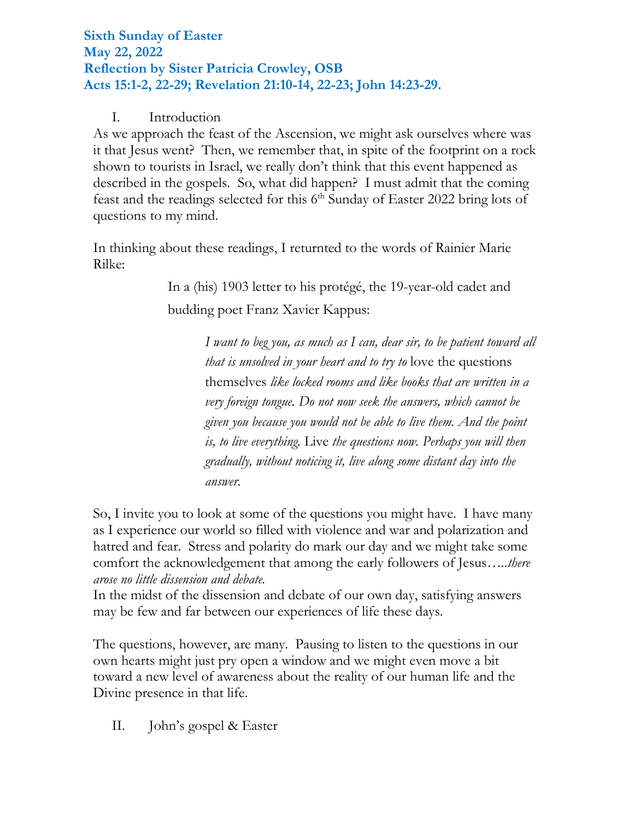## **Sixth Sunday of Easter May 22, 2022 Reflection by Sister Patricia Crowley, OSB Acts 15:1-2, 22-29; Revelation 21:10-14, 22-23; John 14:23-29.**

## I. Introduction

As we approach the feast of the Ascension, we might ask ourselves where was it that Jesus went? Then, we remember that, in spite of the footprint on a rock shown to tourists in Israel, we really don't think that this event happened as described in the gospels. So, what did happen? I must admit that the coming feast and the readings selected for this  $6<sup>th</sup>$  Sunday of Easter 2022 bring lots of questions to my mind.

In thinking about these readings, I returnted to the words of Rainier Marie Rilke:

> In a (his) 1903 letter to his protégé, the 19-year-old cadet and budding poet Franz Xavier Kappus:

> > *I want to beg you, as much as I can, dear sir, to be patient toward all that is unsolved in your heart and to try to* love the questions themselves *like locked rooms and like books that are written in a very foreign tongue. Do not now seek the answers, which cannot be given you because you would not be able to live them. And the point is, to live everything.* Live *the questions now. Perhaps you will then gradually, without noticing it, live along some distant day into the answer.*

So, I invite you to look at some of the questions you might have. I have many as I experience our world so filled with violence and war and polarization and hatred and fear. Stress and polarity do mark our day and we might take some comfort the acknowledgement that among the early followers of Jesus…*..there arose no little dissension and debate.* 

In the midst of the dissension and debate of our own day, satisfying answers may be few and far between our experiences of life these days.

The questions, however, are many. Pausing to listen to the questions in our own hearts might just pry open a window and we might even move a bit toward a new level of awareness about the reality of our human life and the Divine presence in that life.

II. John's gospel & Easter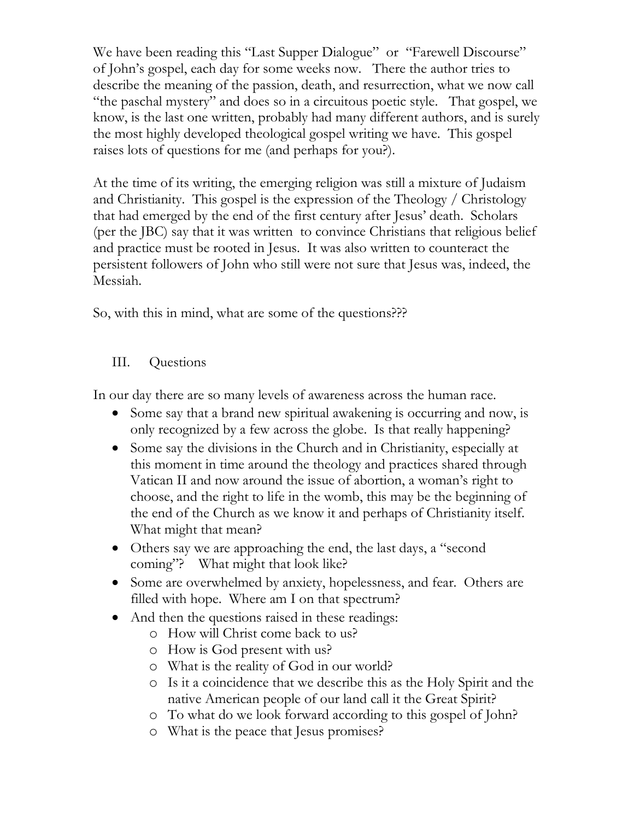We have been reading this "Last Supper Dialogue" or "Farewell Discourse" of John's gospel, each day for some weeks now. There the author tries to describe the meaning of the passion, death, and resurrection, what we now call "the paschal mystery" and does so in a circuitous poetic style. That gospel, we know, is the last one written, probably had many different authors, and is surely the most highly developed theological gospel writing we have. This gospel raises lots of questions for me (and perhaps for you?).

At the time of its writing, the emerging religion was still a mixture of Judaism and Christianity. This gospel is the expression of the Theology / Christology that had emerged by the end of the first century after Jesus' death. Scholars (per the JBC) say that it was written to convince Christians that religious belief and practice must be rooted in Jesus. It was also written to counteract the persistent followers of John who still were not sure that Jesus was, indeed, the Messiah.

So, with this in mind, what are some of the questions???

## III. Questions

In our day there are so many levels of awareness across the human race.

- Some say that a brand new spiritual awakening is occurring and now, is only recognized by a few across the globe. Is that really happening?
- Some say the divisions in the Church and in Christianity, especially at this moment in time around the theology and practices shared through Vatican II and now around the issue of abortion, a woman's right to choose, and the right to life in the womb, this may be the beginning of the end of the Church as we know it and perhaps of Christianity itself. What might that mean?
- Others say we are approaching the end, the last days, a "second" coming"? What might that look like?
- Some are overwhelmed by anxiety, hopelessness, and fear. Others are filled with hope. Where am I on that spectrum?
- And then the questions raised in these readings:
	- o How will Christ come back to us?
	- o How is God present with us?
	- o What is the reality of God in our world?
	- o Is it a coincidence that we describe this as the Holy Spirit and the native American people of our land call it the Great Spirit?
	- o To what do we look forward according to this gospel of John?
	- o What is the peace that Jesus promises?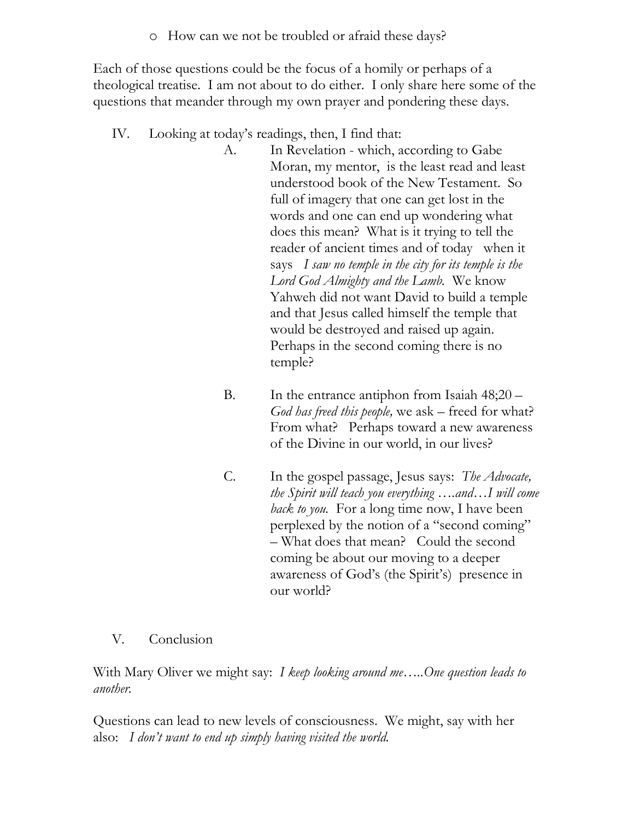o How can we not be troubled or afraid these days?

Each of those questions could be the focus of a homily or perhaps of a theological treatise. I am not about to do either. I only share here some of the questions that meander through my own prayer and pondering these days.

- IV. Looking at today's readings, then, I find that:
	- A. In Revelation which, according to Gabe Moran, my mentor, is the least read and least understood book of the New Testament. So full of imagery that one can get lost in the words and one can end up wondering what does this mean? What is it trying to tell the reader of ancient times and of today when it says *I saw no temple in the city for its temple is the Lord God Almighty and the Lamb.* We know Yahweh did not want David to build a temple and that Jesus called himself the temple that would be destroyed and raised up again. Perhaps in the second coming there is no temple?
	- B. In the entrance antiphon from Isaiah 48;20 *God has freed this people,* we ask – freed for what? From what? Perhaps toward a new awareness of the Divine in our world, in our lives?
	- C. In the gospel passage, Jesus says: *The Advocate, the Spirit will teach you everything ….and…I will come back to you.* For a long time now, I have been perplexed by the notion of a "second coming" – What does that mean? Could the second coming be about our moving to a deeper awareness of God's (the Spirit's) presence in our world?
- V. Conclusion

With Mary Oliver we might say: *I keep looking around me…..One question leads to another.*

Questions can lead to new levels of consciousness. We might, say with her also: *I don't want to end up simply having visited the world.*